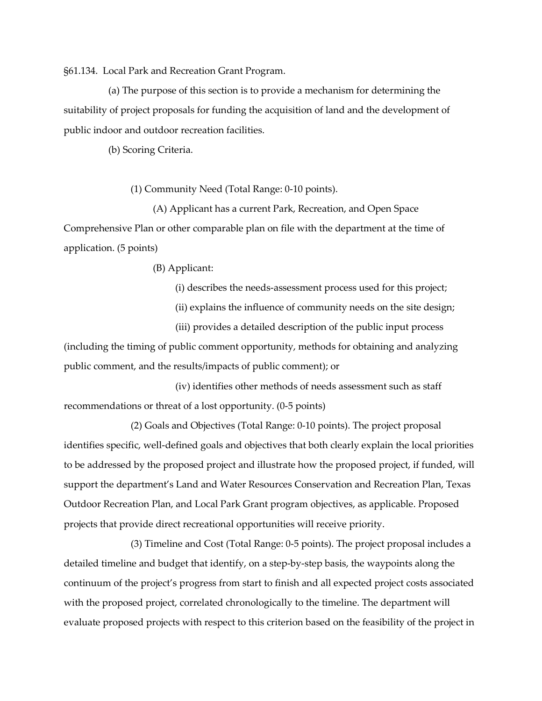§61.134. Local Park and Recreation Grant Program.

(a) The purpose of this section is to provide a mechanism for determining the suitability of project proposals for funding the acquisition of land and the development of public indoor and outdoor recreation facilities.

(b) Scoring Criteria.

(1) Community Need (Total Range: 0-10 points).

(A) Applicant has a current Park, Recreation, and Open Space Comprehensive Plan or other comparable plan on file with the department at the time of application. (5 points)

(B) Applicant:

(i) describes the needs-assessment process used for this project;

(ii) explains the influence of community needs on the site design;

(iii) provides a detailed description of the public input process (including the timing of public comment opportunity, methods for obtaining and analyzing public comment, and the results/impacts of public comment); or

(iv) identifies other methods of needs assessment such as staff recommendations or threat of a lost opportunity. (0-5 points)

(2) Goals and Objectives (Total Range: 0-10 points). The project proposal identifies specific, well-defined goals and objectives that both clearly explain the local priorities to be addressed by the proposed project and illustrate how the proposed project, if funded, will support the department's Land and Water Resources Conservation and Recreation Plan, Texas Outdoor Recreation Plan, and Local Park Grant program objectives, as applicable. Proposed projects that provide direct recreational opportunities will receive priority.

(3) Timeline and Cost (Total Range: 0-5 points). The project proposal includes a detailed timeline and budget that identify, on a step-by-step basis, the waypoints along the continuum of the project's progress from start to finish and all expected project costs associated with the proposed project, correlated chronologically to the timeline. The department will evaluate proposed projects with respect to this criterion based on the feasibility of the project in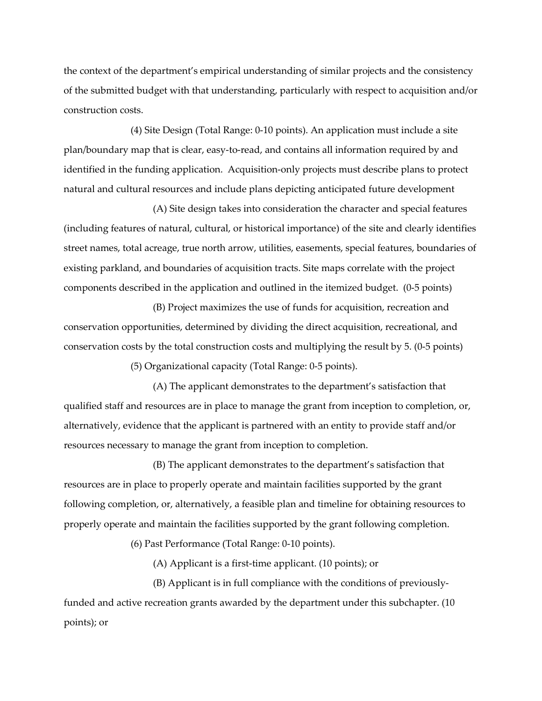the context of the department's empirical understanding of similar projects and the consistency of the submitted budget with that understanding, particularly with respect to acquisition and/or construction costs.

(4) Site Design (Total Range: 0-10 points). An application must include a site plan/boundary map that is clear, easy-to-read, and contains all information required by and identified in the funding application. Acquisition-only projects must describe plans to protect natural and cultural resources and include plans depicting anticipated future development

(A) Site design takes into consideration the character and special features (including features of natural, cultural, or historical importance) of the site and clearly identifies street names, total acreage, true north arrow, utilities, easements, special features, boundaries of existing parkland, and boundaries of acquisition tracts. Site maps correlate with the project components described in the application and outlined in the itemized budget. (0-5 points)

(B) Project maximizes the use of funds for acquisition, recreation and conservation opportunities, determined by dividing the direct acquisition, recreational, and conservation costs by the total construction costs and multiplying the result by 5. (0-5 points)

(5) Organizational capacity (Total Range: 0-5 points).

(A) The applicant demonstrates to the department's satisfaction that qualified staff and resources are in place to manage the grant from inception to completion, or, alternatively, evidence that the applicant is partnered with an entity to provide staff and/or resources necessary to manage the grant from inception to completion.

(B) The applicant demonstrates to the department's satisfaction that resources are in place to properly operate and maintain facilities supported by the grant following completion, or, alternatively, a feasible plan and timeline for obtaining resources to properly operate and maintain the facilities supported by the grant following completion.

(6) Past Performance (Total Range: 0-10 points).

(A) Applicant is a first-time applicant. (10 points); or

(B) Applicant is in full compliance with the conditions of previouslyfunded and active recreation grants awarded by the department under this subchapter. (10 points); or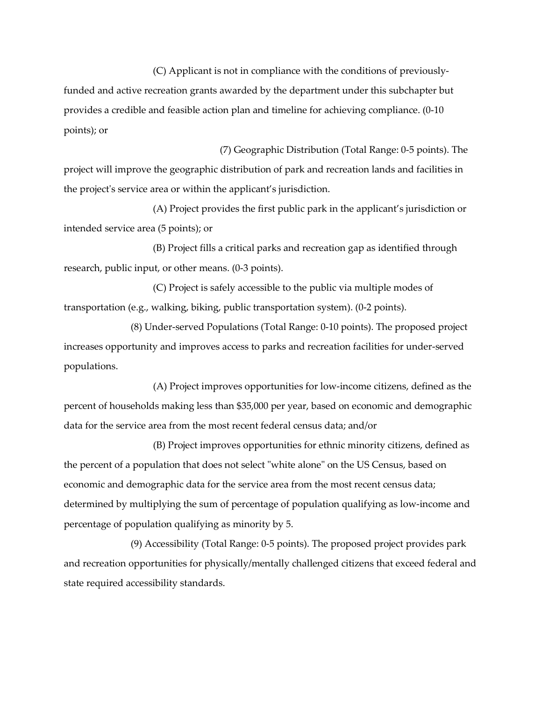(C) Applicant is not in compliance with the conditions of previously-

funded and active recreation grants awarded by the department under this subchapter but provides a credible and feasible action plan and timeline for achieving compliance. (0-10 points); or

(7) Geographic Distribution (Total Range: 0-5 points). The project will improve the geographic distribution of park and recreation lands and facilities in the project's service area or within the applicant's jurisdiction.

(A) Project provides the first public park in the applicant's jurisdiction or intended service area (5 points); or

(B) Project fills a critical parks and recreation gap as identified through research, public input, or other means. (0-3 points).

(C) Project is safely accessible to the public via multiple modes of transportation (e.g., walking, biking, public transportation system). (0-2 points).

(8) Under-served Populations (Total Range: 0-10 points). The proposed project increases opportunity and improves access to parks and recreation facilities for under-served populations.

(A) Project improves opportunities for low-income citizens, defined as the percent of households making less than \$35,000 per year, based on economic and demographic data for the service area from the most recent federal census data; and/or

(B) Project improves opportunities for ethnic minority citizens, defined as the percent of a population that does not select "white alone" on the US Census, based on economic and demographic data for the service area from the most recent census data; determined by multiplying the sum of percentage of population qualifying as low-income and percentage of population qualifying as minority by 5.

(9) Accessibility (Total Range: 0-5 points). The proposed project provides park and recreation opportunities for physically/mentally challenged citizens that exceed federal and state required accessibility standards.